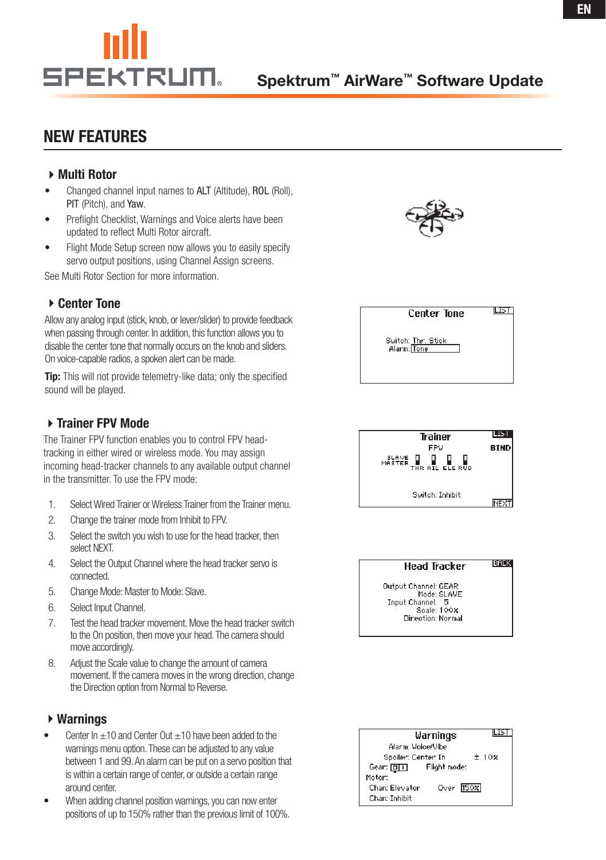# New Features

### ▶ Multi Rotor

- Changed channel input names to ALT (Altitude), ROL (Roll), PIT (Pitch), and Yaw.
- Preflight Checklist, Warnings and Voice alerts have been updated to reflect Multi Rotor aircraft.
- Flight Mode Setup screen now allows you to easily specify servo output positions, using Channel Assign screens.

See Multi Rotor Section for more information.

## ▶ Center Tone

Allow any analog input (stick, knob, or lever/slider) to provide feedback when passing through center. In addition, this function allows you to disable the center tone that normally occurs on the knob and sliders. On voice-capable radios, a spoken alert can be made.

**Tip:** This will not provide telemetry-like data; only the specified sound will be played.

## ▶ Trainer FPV Mode

The Trainer FPV function enables you to control FPV headtracking in either wired or wireless mode. You may assign incoming head-tracker channels to any available output channel in the transmitter. To use the FPV mode:

- 1. Select Wired Trainer or Wireless Trainer from the Trainer menu.
- 2. Change the trainer mode from Inhibit to FPV.
- 3. Select the switch you wish to use for the head tracker, then select NEXT.
- 4. Select the Output Channel where the head tracker servo is connected.
- 5. Change Mode: Master to Mode: Slave.
- 6. Select Input Channel.
- 7. Test the head tracker movement.Move the head trackerswitch to the On position, then move your head.The camera should move accordingly.
- 8. Adjust the Scale value to change the amount of camera movement. If the camera moves in the wrong direction, change the Direction option from Normal to Reverse.

#### Warnings

- Center  $\ln +10$  and Center Out  $+10$  have been added to the warnings menu option. These can be adjusted to any value between 1 and 99.An alarm can be put on a servo position that is within a certain range of center, or outside a certain range around center.
- When adding channel position warnings, you can now enter positions of up to 150% rather than the previous limit of 100%.



**Center Tone** 

Switch: Thr. Stick<br>Alarm: Tone

**ILIST** 



#### **BACK Head Tracker**

Output Channel: GEAR Mode: SLAVE Input Channel: Scale: 100<mark>%</mark> Direction: Normal

| ILIS'<br>Warnings              |
|--------------------------------|
| Alarm: Voice/Vibe              |
| ±10x<br>Spoiler: Center In     |
| Flight mode:<br>Gear: [미미      |
| Motor:                         |
| Over $[50x]$<br>Chan: Elevator |
| Chan: Inhibit                  |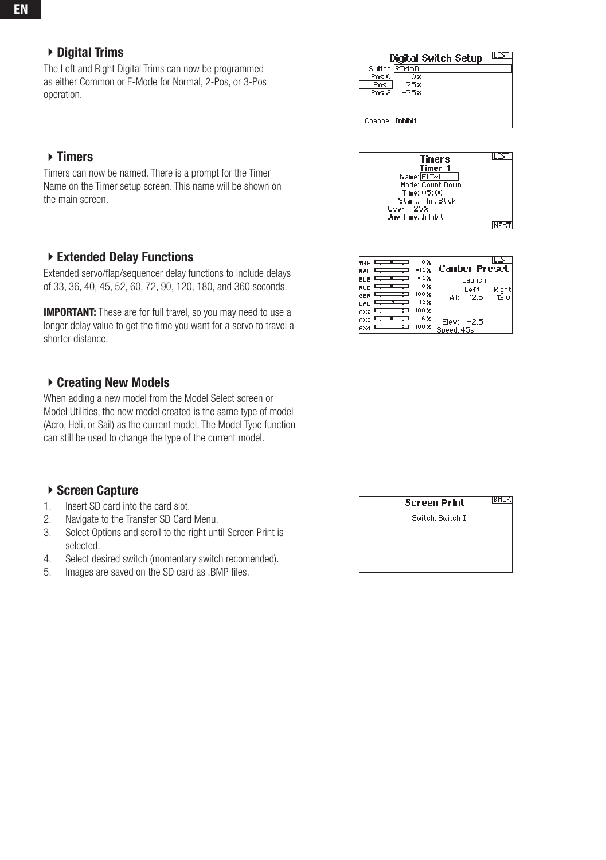## ▶ Digital Trims

The Left and Right Digital Trims can now be programmed as either Common or F-Mode for Normal, 2-Pos, or 3-Pos operation.

## $\triangleright$  Timers

Timers can now be named. There is a prompt for the Timer Name on the Timer setup screen. This name will be shown on the main screen.

#### ▶ Extended Delay Functions

Extended servo/flap/sequencer delay functions to include delays of 33, 36, 40, 45, 52, 60, 72, 90, 120, 180, and 360 seconds.

**IMPORTANT:** These are for full travel, so you may need to use a longer delay value to get the time you want for a servo to travel a shorter distance.

#### ▶ Creating New Models

When adding a new model from the Model Select screen or Model Utilities, the new model created is the same type of model (Acro, Heli, or Sail) as the current model. The Model Type function can still be used to change the type of the current model.

#### ▶ Screen Capture

- 1. Insert SD card into the card slot.
- 2. Navigate to the Transfer SD Card Menu.
- 3. Select Options and scroll to the right until Screen Print is selected.
- 4. Select desired switch (momentary switch recomended).
- 5. Images are saved on the SD card as .BMP files.

| Digital Switch Setup                   |  |
|----------------------------------------|--|
| Switch: RTrimD                         |  |
| Pos 0:<br>о×                           |  |
| Pos 1:<br><b>75%</b><br>$Poss2' - 75x$ |  |
|                                        |  |
|                                        |  |
|                                        |  |
| <b>Channel: Inhibit</b>                |  |



| RAL | ٥×<br>-12% | Camber Preset        |
|-----|------------|----------------------|
|     | -2%        | Launch               |
| RUD | -0%        | Rigl<br>Left         |
| GER | 100%       | 12.0<br>Ail:<br>12.5 |
|     | 12%        |                      |
|     | 100%       |                      |
|     | 6%         | Elev: -2.5           |
|     | 100%       | Speed: 45s           |

**Screen Print** 

**IBACK** 

Switch: Switch I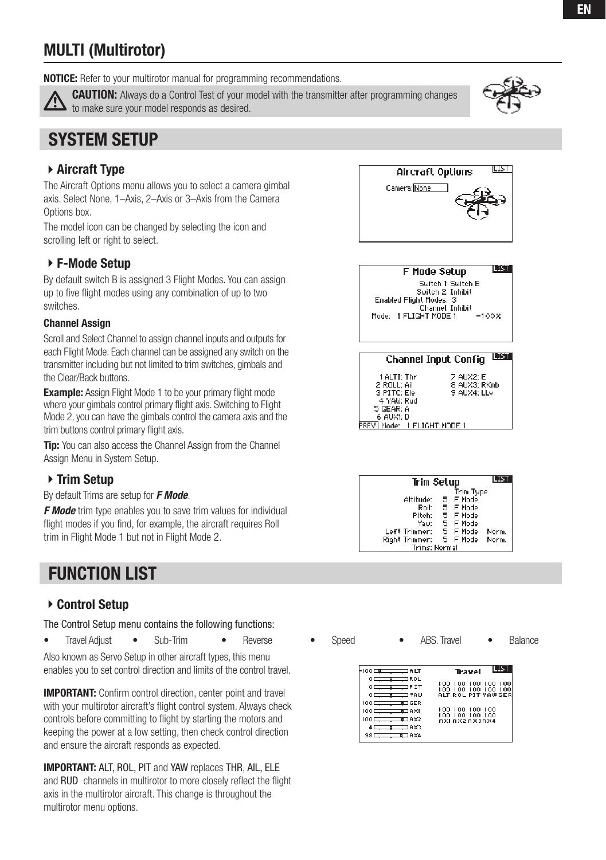# MULTI (Multirotor)

**NOTICE:** Refer to your multirotor manual for programming recommendations.



**CAUTION:** Always do a Control Test of your model with the transmitter after programming changes to make sure your model responds as desired.

# System Setup

## Aircraft Type

The Aircraft Options menu allows you to select a camera gimbal axis. Select None, 1–Axis, 2–Axis or 3–Axis from the Camera Options box.

The model icon can be changed by selecting the icon and scrolling left or right to select.

## F-Mode Setup

By default switch B is assigned 3 Flight Modes. You can assign up to five flight modes using any combination of up to two switches.

#### Channel Assign

Scroll and Select Channel to assign channel inputs and outputs for each Flight Mode. Each channel can be assigned any switch on the transmitter including but not limited to trim switches, gimbals and the Clear/Back buttons.

**Example:** Assign Flight Mode 1 to be your primary flight mode where your gimbals control primary flight axis. Switching to Flight Mode 2, you can have the gimbals control the camera axis and the trim buttons control primary flight axis.

**Tip:** You can also access the Channel Assign from the Channel Assign Menu in System Setup.

## ▶ Trim Setup

By default Trims are setup for *F Mode*.

**F Mode** trim type enables you to save trim values for individual flight modes if you find, for example, the aircraft requires Roll trim in Flight Mode 1 but not in Flight Mode 2.

# **FUNCTION LIST**

## ▶ Control Setup

The Control Setup menu contains the following functions:

• Travel Adjust • Sub-Trim • Reverse • Speed • ABS. Travel • Balance

Also known as Servo Setup in other aircraft types, this menu enables you to set control direction and limits of the control travel.

IMPORTANT: Confirm control direction, center point and travel with your multirotor aircraft's flight control system. Always check controls before committing to flight by starting the motors and keeping the power at a low setting, then check control direction and ensure the aircraft responds as expected.

IMPORTANT: ALT, ROL, PIT and YAW replaces THR, AIL, ELE and RUD channels in multirotor to more closely reflect the flight axis in the multirotor aircraft. This change is throughout the multirotor menu options.





**LIST** F Mode Setup Switch 1: Switch B Switch 2: Inhibit Enabled Flight Modes: 3<br>Channel: Inhibit Mode: 1 FLIGHT MODE 1  $-100x$ 

#### **Channel Input Config LIST**

| 1 ALTI: Thr<br>2 ROLL: Ail               | 7 AUX2: E<br>8 AUX3: RKnb |
|------------------------------------------|---------------------------|
| 3 PITC: Ele                              | 9 AUX4: LLv               |
| 4 YAW: Rud<br>5 GEAR: A                  |                           |
| 6 AUXI: D<br>REV   Mode: 1 FLIGHT MODE 1 |                           |
|                                          |                           |

| Trim Setup            |  |           |       |
|-----------------------|--|-----------|-------|
|                       |  | Trim Type |       |
| Altitude:             |  | 5 F Mode  |       |
| Roll:                 |  | 5 F Mode  |       |
| Pitch:                |  | 5 F Mode  |       |
| Yaw:                  |  | 5 F Mode  |       |
| Left Trimmer:         |  | 5 F Mode  | Norm. |
| <b>Right Trimmer:</b> |  | 5 F Mode  | Norm. |
| Trims: Normal         |  |           |       |

|                                                                                                                                                                                                                                                                                                                                                                                                                                                                                                                                                                                                                    | Travel                                                           |
|--------------------------------------------------------------------------------------------------------------------------------------------------------------------------------------------------------------------------------------------------------------------------------------------------------------------------------------------------------------------------------------------------------------------------------------------------------------------------------------------------------------------------------------------------------------------------------------------------------------------|------------------------------------------------------------------|
| 0 <del>______</del> _______ ROL<br>$0$ is the set of $\Gamma$<br>$0 \longrightarrow 3$                                                                                                                                                                                                                                                                                                                                                                                                                                                                                                                             | 100 100 100 100 100<br>100 100 100 100 100<br>ALT ROL PIT YAWGER |
| $\frac{100}{2}$<br><b>ELIGER</b><br>100 <del>- 10</del> AXI<br>ш AХ2<br>$100 \equiv$<br>4 <del>________</del> ______ A×3<br>$\overline{\phantom{1}}$ $\overline{\phantom{1}}$ $\overline{\phantom{1}}$ $\overline{\phantom{1}}$ $\overline{\phantom{1}}$ $\overline{\phantom{1}}$ $\overline{\phantom{1}}$ $\overline{\phantom{1}}$ $\overline{\phantom{1}}$ $\overline{\phantom{1}}$ $\overline{\phantom{1}}$ $\overline{\phantom{1}}$ $\overline{\phantom{1}}$ $\overline{\phantom{1}}$ $\overline{\phantom{1}}$ $\overline{\phantom{1}}$ $\overline{\phantom{1}}$ $\overline{\phantom{1}}$ $\overline{\$<br>981 | 100 100 100<br>100.<br>100 100 100<br>100<br>AXI AX2AX3AX4       |